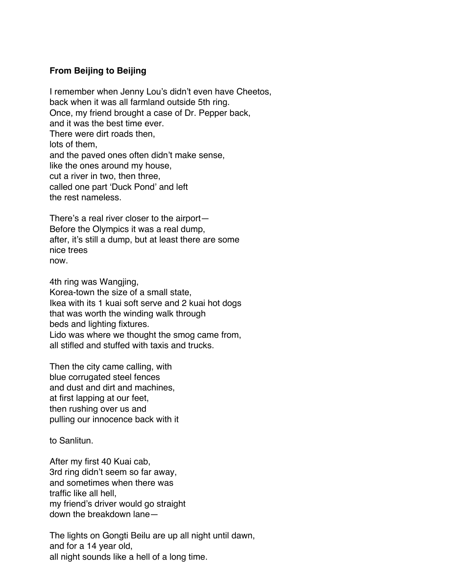## **From Beijing to Beijing**

I remember when Jenny Lou's didn't even have Cheetos, back when it was all farmland outside 5th ring. Once, my friend brought a case of Dr. Pepper back, and it was the best time ever. There were dirt roads then, lots of them, and the paved ones often didn't make sense, like the ones around my house, cut a river in two, then three, called one part 'Duck Pond' and left the rest nameless.

There's a real river closer to the airport— Before the Olympics it was a real dump, after, it's still a dump, but at least there are some nice trees now.

4th ring was Wangjing,

Korea-town the size of a small state, Ikea with its 1 kuai soft serve and 2 kuai hot dogs that was worth the winding walk through beds and lighting fixtures. Lido was where we thought the smog came from, all stifled and stuffed with taxis and trucks.

Then the city came calling, with blue corrugated steel fences and dust and dirt and machines, at first lapping at our feet, then rushing over us and pulling our innocence back with it

to Sanlitun.

After my first 40 Kuai cab, 3rd ring didn't seem so far away, and sometimes when there was traffic like all hell, my friend's driver would go straight down the breakdown lane—

The lights on Gongti Beilu are up all night until dawn, and for a 14 year old, all night sounds like a hell of a long time.